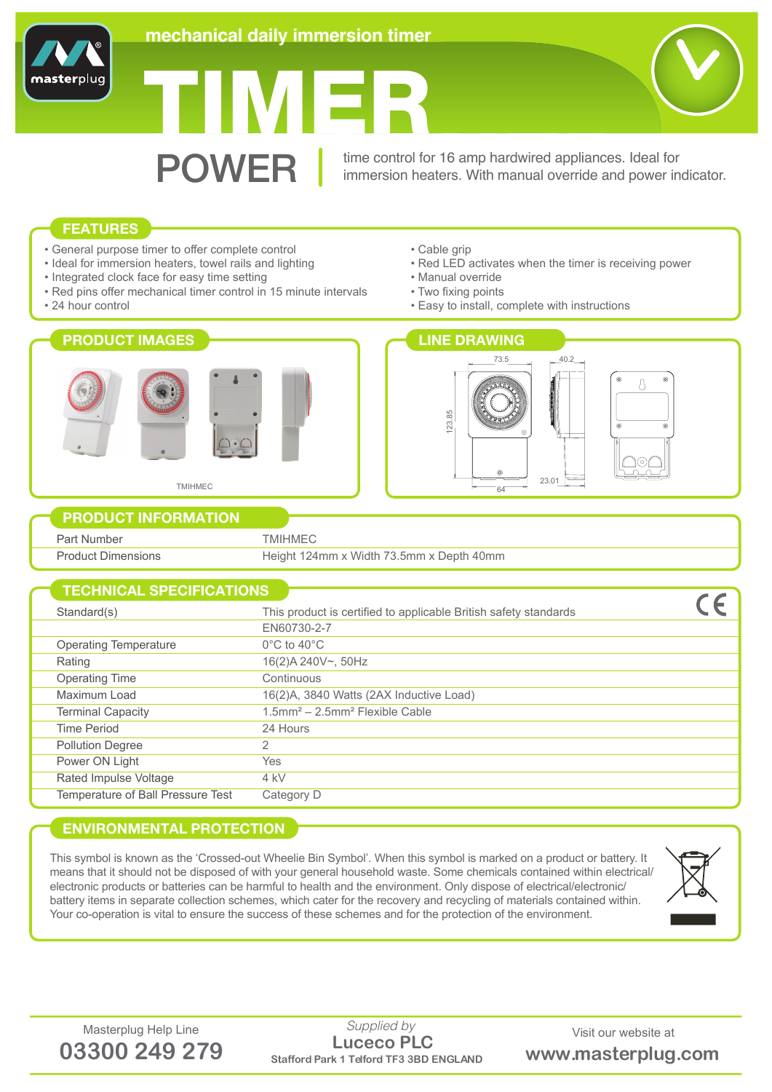

# TIMER

**POWER** time control for 16 amp hardwired appliances. Ideal for<br>immersion heaters. With manual override and power in immersion heaters. With manual override and power indicator.

# **FEATURES**

**master**plu

- General purpose timer to offer complete control
- Ideal for immersion heaters, towel rails and lighting
- Integrated clock face for easy time setting
- Red pins offer mechanical timer control in 15 minute intervals
- 24 hour control



- Cable grip
- Red LED activates when the timer is receiving power
- Manual override
- Two fixing points
- Easy to install, complete with instructions



## **PRODUCT INFORMATION**

| Part Number               | TMIHMEC                                  |
|---------------------------|------------------------------------------|
| <b>Product Dimensions</b> | Height 124mm x Width 73.5mm x Depth 40mm |
|                           |                                          |

| <b>TECHNICAL SPECIFICATIONS</b>   |                                                                  |
|-----------------------------------|------------------------------------------------------------------|
|                                   |                                                                  |
| Standard(s)                       | This product is certified to applicable British safety standards |
|                                   | EN60730-2-7                                                      |
| Operating Temperature             | $0^{\circ}$ C to 40 $^{\circ}$ C                                 |
| Rating                            | 16(2)A 240V~, 50Hz                                               |
| <b>Operating Time</b>             | Continuous                                                       |
| Maximum Load                      | 16(2)A, 3840 Watts (2AX Inductive Load)                          |
| <b>Terminal Capacity</b>          | $1.5$ mm <sup>2</sup> - $2.5$ mm <sup>2</sup> Flexible Cable     |
| Time Period                       | 24 Hours                                                         |
| <b>Pollution Degree</b>           | 2                                                                |
| Power ON Light                    | Yes                                                              |
| Rated Impulse Voltage             | 4 kV                                                             |
| Temperature of Ball Pressure Test | Category D                                                       |

# **ENVIRONMENTAL PROTECTION**

This symbol is known as the 'Crossed-out Wheelie Bin Symbol'. When this symbol is marked on a product or battery. It means that it should not be disposed of with your general household waste. Some chemicals contained within electrical/ electronic products or batteries can be harmful to health and the environment. Only dispose of electrical/electronic/ battery items in separate collection schemes, which cater for the recovery and recycling of materials contained within. Your co-operation is vital to ensure the success of these schemes and for the protection of the environment.



Masterplug Help Line Supplied by Supplied by Visit our website at **03300 249 279 Stafford Park 1 Telford TF3 3BD ENGLAND www.masterplug.com Luceco PLC** *Supplied by*